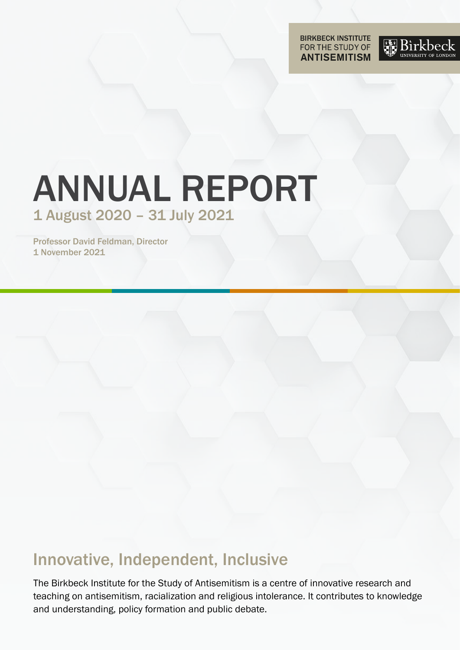**BIRKBECK INSTITUTE**<br>FOR THE STUDY OF **ANTISEMITISM** 



# ANNUAL REPORT 1 August 2020 – 31 July 2021

Professor David Feldman, Director 1 November 2021

## Innovative, Independent, Inclusive

The Birkbeck Institute for the Study of Antisemitism is a centre of innovative research and teaching on antisemitism, racialization and religious intolerance. It contributes to knowledge and understanding, policy formation and public debate.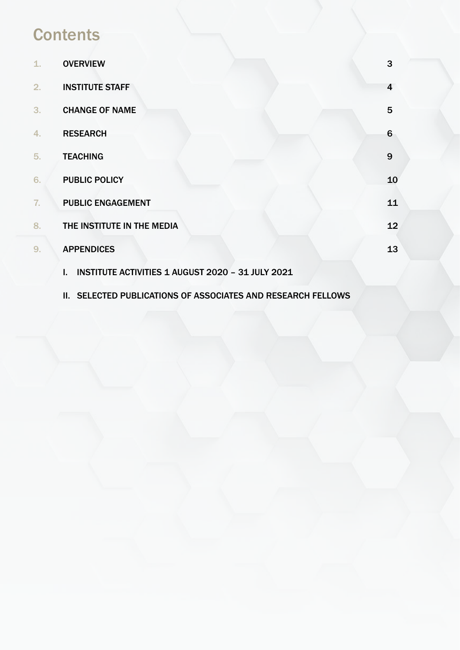## **Contents**

| 1. | <b>OVERVIEW</b>                                         | 3               |
|----|---------------------------------------------------------|-----------------|
| 2. | <b>INSTITUTE STAFF</b>                                  | 4               |
| 3. | <b>CHANGE OF NAME</b>                                   | 5               |
| 4. | <b>RESEARCH</b>                                         | $6\phantom{1}6$ |
| 5. | <b>TEACHING</b>                                         | 9               |
| 6. | <b>PUBLIC POLICY</b>                                    | 10              |
| 7. | <b>PUBLIC ENGAGEMENT</b>                                | 11              |
| 8. | THE INSTITUTE IN THE MEDIA                              | 12              |
| 9. | <b>APPENDICES</b>                                       | 13              |
|    | INSTITUTE ACTIVITIES 1 AUGUST 2020 - 31 JULY 2021<br>L. |                 |

II. SELECTED PUBLICATIONS OF ASSOCIATES AND RESEARCH FELLOWS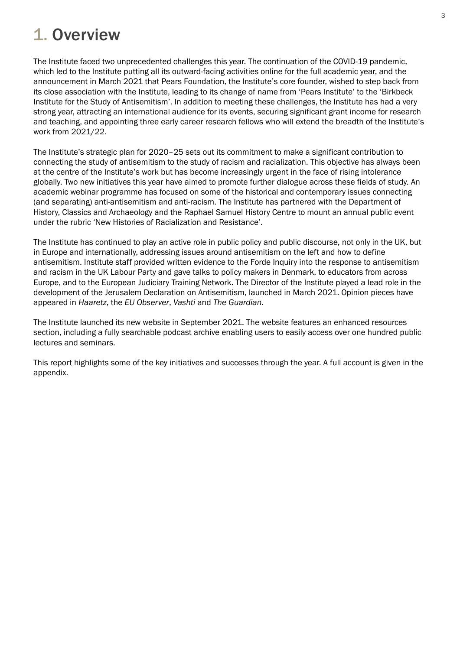## 1. Overview

The Institute faced two unprecedented challenges this year. The continuation of the COVID-19 pandemic, which led to the Institute putting all its outward-facing activities online for the full academic year, and the announcement in March 2021 that Pears Foundation, the Institute's core founder, wished to step back from its close association with the Institute, leading to its change of name from 'Pears Institute' to the 'Birkbeck Institute for the Study of Antisemitism'. In addition to meeting these challenges, the Institute has had a very strong year, attracting an international audience for its events, securing significant grant income for research and teaching, and appointing three early career research fellows who will extend the breadth of the Institute's work from 2021/22.

The Institute's strategic plan for 2020–25 sets out its commitment to make a significant contribution to connecting the study of antisemitism to the study of racism and racialization. This objective has always been at the centre of the Institute's work but has become increasingly urgent in the face of rising intolerance globally. Two new initiatives this year have aimed to promote further dialogue across these fields of study. An academic webinar programme has focused on some of the historical and contemporary issues connecting (and separating) anti-antisemitism and anti-racism. The Institute has partnered with the Department of History, Classics and Archaeology and the Raphael Samuel History Centre to mount an annual public event under the rubric 'New Histories of Racialization and Resistance'.

The Institute has continued to play an active role in public policy and public discourse, not only in the UK, but in Europe and internationally, addressing issues around antisemitism on the left and how to define antisemitism. Institute staff provided written evidence to the Forde Inquiry into the response to antisemitism and racism in the UK Labour Party and gave talks to policy makers in Denmark, to educators from across Europe, and to the European Judiciary Training Network. The Director of the Institute played a lead role in the development of the Jerusalem Declaration on Antisemitism, launched in March 2021. Opinion pieces have appeared in *Haaretz*, the *EU Observer*, *Vashti* and *The Guardian*.

The Institute launched its new website in September 2021. The website features an enhanced resources section, including a fully searchable podcast archive enabling users to easily access over one hundred public lectures and seminars.

This report highlights some of the key initiatives and successes through the year. A full account is given in the appendix.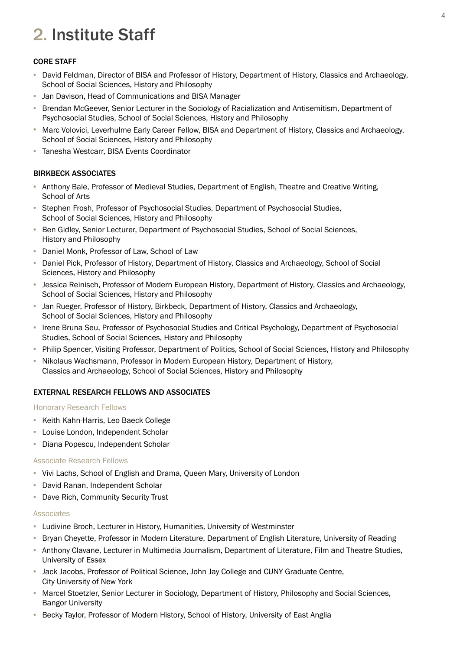## 2. Institute Staff

### CORE STAFF

- David Feldman, Director of BISA and Professor of History, Department of History, Classics and Archaeology, School of Social Sciences, History and Philosophy
- Jan Davison, Head of Communications and BISA Manager
- Brendan McGeever, Senior Lecturer in the Sociology of Racialization and Antisemitism, Department of Psychosocial Studies, School of Social Sciences, History and Philosophy •
- Marc Volovici, Leverhulme Early Career Fellow, BISA and Department of History, Classics and Archaeology, School of Social Sciences, History and Philosophy
- Tanesha Westcarr, BISA Events Coordinator

### BIRKBECK ASSOCIATES

- Anthony Bale, Professor of Medieval Studies, Department of English, Theatre and Creative Writing, School of Arts
- Stephen Frosh, Professor of Psychosocial Studies, Department of Psychosocial Studies, School of Social Sciences, History and Philosophy
- Ben Gidley, Senior Lecturer, Department of Psychosocial Studies, School of Social Sciences, History and Philosophy
- Daniel Monk, Professor of Law, School of Law
- Daniel Pick, Professor of History, Department of History, Classics and Archaeology, School of Social Sciences, History and Philosophy
- Jessica Reinisch, Professor of Modern European History, Department of History, Classics and Archaeology, School of Social Sciences, History and Philosophy
- Jan Rueger, Professor of History, Birkbeck, Department of History, Classics and Archaeology, School of Social Sciences, History and Philosophy
- Irene Bruna Seu, Professor of Psychosocial Studies and Critical Psychology, Department of Psychosocial Studies, School of Social Sciences, History and Philosophy
- Philip Spencer, Visiting Professor, Department of Politics, School of Social Sciences, History and Philosophy •
- Nikolaus Wachsmann, Professor in Modern European History, Department of History, Classics and Archaeology, School of Social Sciences, History and Philosophy

#### EXTERNAL RESEARCH FELLOWS AND ASSOCIATES

Honorary Research Fellows

- Keith Kahn-Harris, Leo Baeck College
- Louise London, Independent Scholar •
- Diana Popescu, Independent Scholar

#### Associate Research Fellows

- Vivi Lachs, School of English and Drama, Queen Mary, University of London
- David Ranan, Independent Scholar
- Dave Rich, Community Security Trust

#### Associates

- Ludivine Broch, Lecturer in History, Humanities, University of Westminster
- Bryan Cheyette, Professor in Modern Literature, Department of English Literature, University of Reading
- Anthony Clavane, Lecturer in Multimedia Journalism, Department of Literature, Film and Theatre Studies, University of Essex
- Jack Jacobs, Professor of Political Science, John Jay College and CUNY Graduate Centre, City University of New York
- Marcel Stoetzler, Senior Lecturer in Sociology, Department of History, Philosophy and Social Sciences, Bangor University
- Becky Taylor, Professor of Modern History, School of History, University of East Anglia •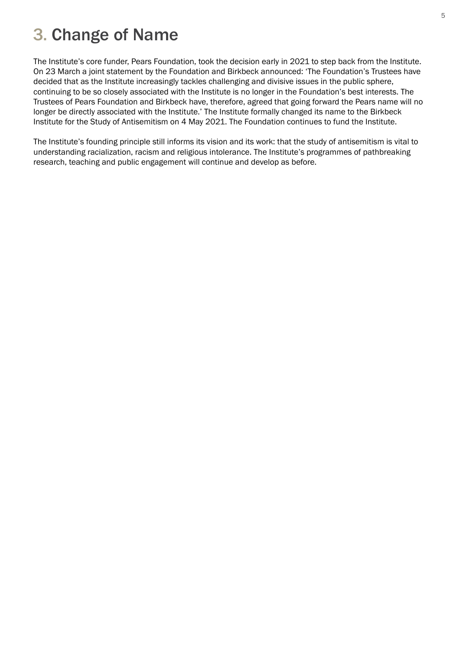## 3. Change of Name

The Institute's core funder, Pears Foundation, took the decision early in 2021 to step back from the Institute. On 23 March a joint statement by the Foundation and Birkbeck announced: 'The Foundation's Trustees have decided that as the Institute increasingly tackles challenging and divisive issues in the public sphere, continuing to be so closely associated with the Institute is no longer in the Foundation's best interests. The Trustees of Pears Foundation and Birkbeck have, therefore, agreed that going forward the Pears name will no longer be directly associated with the Institute.' The Institute formally changed its name to the Birkbeck Institute for the Study of Antisemitism on 4 May 2021. The Foundation continues to fund the Institute.

The Institute's founding principle still informs its vision and its work: that the study of antisemitism is vital to understanding racialization, racism and religious intolerance. The Institute's programmes of pathbreaking research, teaching and public engagement will continue and develop as before.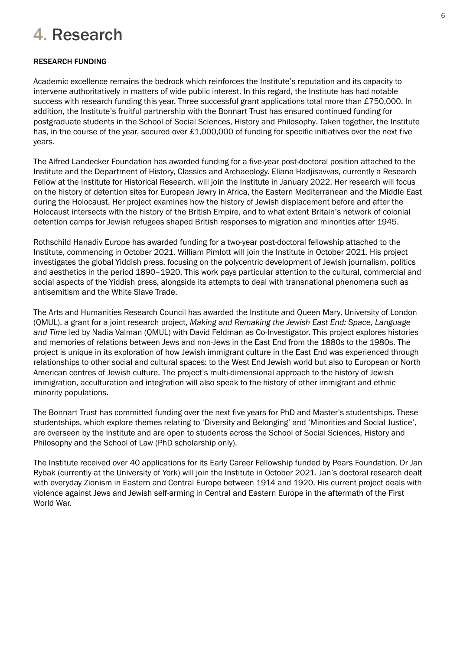## 4. Research

## RESEARCH FUNDING

Academic excellence remains the bedrock which reinforces the Institute's reputation and its capacity to intervene authoritatively in matters of wide public interest. In this regard, the Institute has had notable success with research funding this year. Three successful grant applications total more than £750,000. In addition, the Institute's fruitful partnership with the Bonnart Trust has ensured continued funding for postgraduate students in the School of Social Sciences, History and Philosophy. Taken together, the Institute has, in the course of the year, secured over £1,000,000 of funding for specific initiatives over the next five years.

The Alfred Landecker Foundation has awarded funding for a five-year post-doctoral position attached to the Institute and the Department of History, Classics and Archaeology. Eliana Hadjisavvas, currently a Research Fellow at the Institute for Historical Research, will join the Institute in January 2022. Her research will focus on the history of detention sites for European Jewry in Africa, the Eastern Mediterranean and the Middle East during the Holocaust. Her project examines how the history of Jewish displacement before and after the Holocaust intersects with the history of the British Empire, and to what extent Britain's network of colonial detention camps for Jewish refugees shaped British responses to migration and minorities after 1945.

Rothschild Hanadiv Europe has awarded funding for a two-year post-doctoral fellowship attached to the Institute, commencing in October 2021. William Pimlott will join the Institute in October 2021. His project investigates the global Yiddish press, focusing on the polycentric development of Jewish journalism, politics and aesthetics in the period 1890–1920. This work pays particular attention to the cultural, commercial and social aspects of the Yiddish press, alongside its attempts to deal with transnational phenomena such as antisemitism and the White Slave Trade.

The Arts and Humanities Research Council has awarded the Institute and Queen Mary, University of London (QMUL), a grant for a joint research project, *Making and Remaking the Jewish East End: Space, Language and Time* led by Nadia Valman (QMUL) with David Feldman as Co-Investigator. This project explores histories and memories of relations between Jews and non-Jews in the East End from the 1880s to the 1980s. The project is unique in its exploration of how Jewish immigrant culture in the East End was experienced through relationships to other social and cultural spaces: to the West End Jewish world but also to European or North American centres of Jewish culture. The project's multi-dimensional approach to the history of Jewish immigration, acculturation and integration will also speak to the history of other immigrant and ethnic minority populations.

The Bonnart Trust has committed funding over the next five years for PhD and Master's studentships. These studentships, which explore themes relating to 'Diversity and Belonging' and 'Minorities and Social Justice', are overseen by the Institute and are open to students across the School of Social Sciences, History and Philosophy and the School of Law (PhD scholarship only).

The Institute received over 40 applications for its Early Career Fellowship funded by Pears Foundation. Dr Jan Rybak (currently at the University of York) will join the Institute in October 2021. Jan's doctoral research dealt with everyday Zionism in Eastern and Central Europe between 1914 and 1920. His current project deals with violence against Jews and Jewish self-arming in Central and Eastern Europe in the aftermath of the First World War.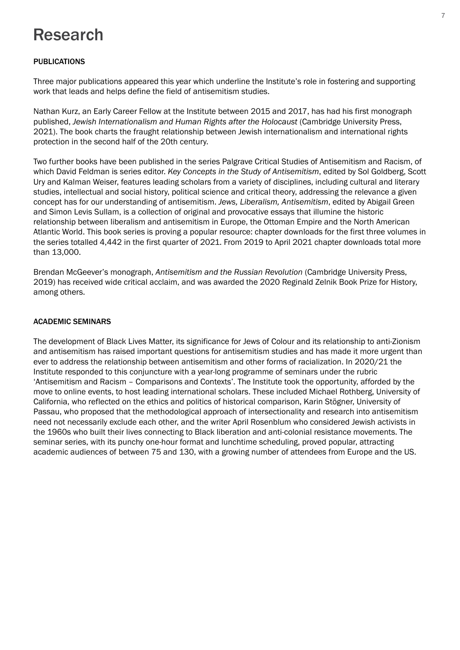## Research

### PUBLICATIONS

Three major publications appeared this year which underline the Institute's role in fostering and supporting work that leads and helps define the field of antisemitism studies.

Nathan Kurz, an Early Career Fellow at the Institute between 2015 and 2017, has had his first monograph published, *Jewish Internationalism and Human Rights after the Holocaust* (Cambridge University Press, 2021). The book charts the fraught relationship between Jewish internationalism and international rights protection in the second half of the 20th century.

Two further books have been published in the series Palgrave Critical Studies of Antisemitism and Racism, of which David Feldman is series editor. *Key Concepts in the Study of Antisemitism*, edited by Sol Goldberg, Scott Ury and Kalman Weiser, features leading scholars from a variety of disciplines, including cultural and literary studies, intellectual and social history, political science and critical theory, addressing the relevance a given concept has for our understanding of antisemitism. *Jews, Liberalism, Antisemitism*, edited by Abigail Green and Simon Levis Sullam, is a collection of original and provocative essays that illumine the historic relationship between liberalism and antisemitism in Europe, the Ottoman Empire and the North American Atlantic World. This book series is proving a popular resource: chapter downloads for the first three volumes in the series totalled 4,442 in the first quarter of 2021. From 2019 to April 2021 chapter downloads total more than 13,000.

Brendan McGeever's monograph, *Antisemitism and the Russian Revolution* (Cambridge University Press, 2019) has received wide critical acclaim, and was awarded the 2020 Reginald Zelnik Book Prize for History, among others.

### ACADEMIC SEMINARS

The development of Black Lives Matter, its significance for Jews of Colour and its relationship to anti-Zionism and antisemitism has raised important questions for antisemitism studies and has made it more urgent than ever to address the relationship between antisemitism and other forms of racialization. In 2020/21 the Institute responded to this conjuncture with a year-long programme of seminars under the rubric 'Antisemitism and Racism – Comparisons and Contexts'. The Institute took the opportunity, afforded by the move to online events, to host leading international scholars. These included Michael Rothberg, University of California, who reflected on the ethics and politics of historical comparison, Karin Stögner, University of Passau, who proposed that the methodological approach of intersectionality and research into antisemitism need not necessarily exclude each other, and the writer April Rosenblum who considered Jewish activists in the 1960s who built their lives connecting to Black liberation and anti-colonial resistance movements. The seminar series, with its punchy one-hour format and lunchtime scheduling, proved popular, attracting academic audiences of between 75 and 130, with a growing number of attendees from Europe and the US.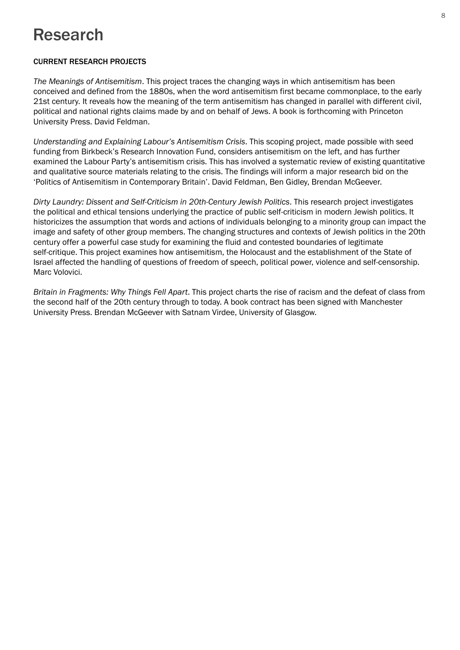## Research

### CURRENT RESEARCH PROJECTS

*The Meanings of Antisemitism*. This project traces the changing ways in which antisemitism has been conceived and defined from the 1880s, when the word antisemitism first became commonplace, to the early 21st century. It reveals how the meaning of the term antisemitism has changed in parallel with different civil, political and national rights claims made by and on behalf of Jews. A book is forthcoming with Princeton University Press. David Feldman.

*Understanding and Explaining Labour's Antisemitism Crisis*. This scoping project, made possible with seed funding from Birkbeck's Research Innovation Fund, considers antisemitism on the left, and has further examined the Labour Party's antisemitism crisis. This has involved a systematic review of existing quantitative and qualitative source materials relating to the crisis. The findings will inform a major research bid on the 'Politics of Antisemitism in Contemporary Britain'. David Feldman, Ben Gidley, Brendan McGeever.

*Dirty Laundry: Dissent and Self-Criticism in 20th-Century Jewish Politics*. This research project investigates the political and ethical tensions underlying the practice of public self-criticism in modern Jewish politics. It historicizes the assumption that words and actions of individuals belonging to a minority group can impact the image and safety of other group members. The changing structures and contexts of Jewish politics in the 20th century offer a powerful case study for examining the fluid and contested boundaries of legitimate self-critique. This project examines how antisemitism, the Holocaust and the establishment of the State of Israel affected the handling of questions of freedom of speech, political power, violence and self-censorship. Marc Volovici.

*Britain in Fragments: Why Things Fell Apart*. This project charts the rise of racism and the defeat of class from the second half of the 20th century through to today. A book contract has been signed with Manchester University Press. Brendan McGeever with Satnam Virdee, University of Glasgow.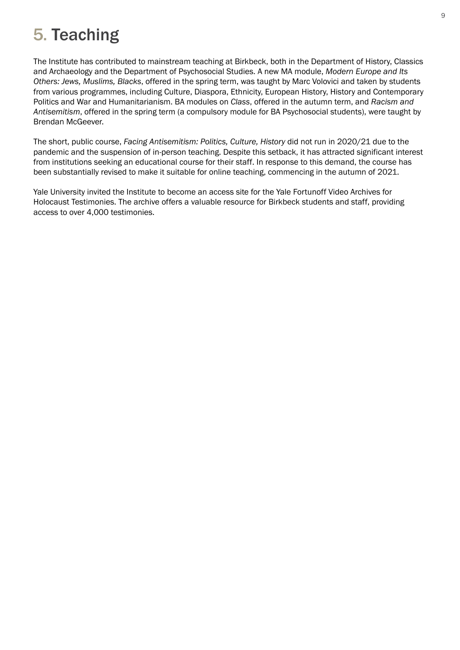## 5. Teaching

The Institute has contributed to mainstream teaching at Birkbeck, both in the Department of History, Classics and Archaeology and the Department of Psychosocial Studies. A new MA module, *Modern Europe and Its Others: Jews, Muslims, Blacks*, offered in the spring term, was taught by Marc Volovici and taken by students from various programmes, including Culture, Diaspora, Ethnicity, European History, History and Contemporary Politics and War and Humanitarianism. BA modules on *Class*, offered in the autumn term, and *Racism and Antisemitism*, offered in the spring term (a compulsory module for BA Psychosocial students), were taught by Brendan McGeever.

The short, public course, *Facing Antisemitism: Politics, Culture, History* did not run in 2020/21 due to the pandemic and the suspension of in-person teaching. Despite this setback, it has attracted significant interest from institutions seeking an educational course for their staff. In response to this demand, the course has been substantially revised to make it suitable for online teaching, commencing in the autumn of 2021.

Yale University invited the Institute to become an access site for the Yale Fortunoff Video Archives for Holocaust Testimonies. The archive offers a valuable resource for Birkbeck students and staff, providing access to over 4,000 testimonies.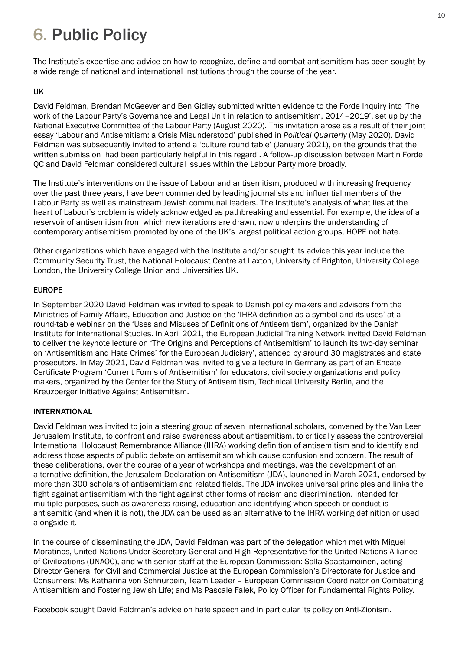## 6. Public Policy

The Institute's expertise and advice on how to recognize, define and combat antisemitism has been sought by a wide range of national and international institutions through the course of the year.

### UK

David Feldman, Brendan McGeever and Ben Gidley submitted written evidence to the Forde Inquiry into 'The work of the Labour Party's Governance and Legal Unit in relation to antisemitism, 2014–2019', set up by the National Executive Committee of the Labour Party (August 2020). This invitation arose as a result of their joint essay 'Labour and Antisemitism: a Crisis Misunderstood' published in *Political Quarterly* (May 2020). David Feldman was subsequently invited to attend a 'culture round table' (January 2021), on the grounds that the written submission 'had been particularly helpful in this regard'. A follow-up discussion between Martin Forde QC and David Feldman considered cultural issues within the Labour Party more broadly.

The Institute's interventions on the issue of Labour and antisemitism, produced with increasing frequency over the past three years, have been commended by leading journalists and influential members of the Labour Party as well as mainstream Jewish communal leaders. The Institute's analysis of what lies at the heart of Labour's problem is widely acknowledged as pathbreaking and essential. For example, the idea of a reservoir of antisemitism from which new iterations are drawn, now underpins the understanding of contemporary antisemitism promoted by one of the UK's largest political action groups, HOPE not hate.

Other organizations which have engaged with the Institute and/or sought its advice this year include the Community Security Trust, the National Holocaust Centre at Laxton, University of Brighton, University College London, the University College Union and Universities UK.

### EUROPE

In September 2020 David Feldman was invited to speak to Danish policy makers and advisors from the Ministries of Family Affairs, Education and Justice on the 'IHRA definition as a symbol and its uses' at a round-table webinar on the 'Uses and Misuses of Definitions of Antisemitism', organized by the Danish Institute for International Studies. In April 2021, the European Judicial Training Network invited David Feldman to deliver the keynote lecture on 'The Origins and Perceptions of Antisemitism' to launch its two-day seminar on 'Antisemitism and Hate Crimes' for the European Judiciary', attended by around 30 magistrates and state prosecutors. In May 2021, David Feldman was invited to give a lecture in Germany as part of an Encate Certificate Program 'Current Forms of Antisemitism' for educators, civil society organizations and policy makers, organized by the Center for the Study of Antisemitism, Technical University Berlin, and the Kreuzberger Initiative Against Antisemitism.

#### INTERNATIONAL

David Feldman was invited to join a steering group of seven international scholars, convened by the Van Leer Jerusalem Institute, to confront and raise awareness about antisemitism, to critically assess the controversial International Holocaust Remembrance Alliance (IHRA) working definition of antisemitism and to identify and address those aspects of public debate on antisemitism which cause confusion and concern. The result of these deliberations, over the course of a year of workshops and meetings, was the development of an alternative definition, the Jerusalem Declaration on Antisemitism (JDA), launched in March 2021, endorsed by more than 300 scholars of antisemitism and related fields. The JDA invokes universal principles and links the fight against antisemitism with the fight against other forms of racism and discrimination. Intended for multiple purposes, such as awareness raising, education and identifying when speech or conduct is antisemitic (and when it is not), the JDA can be used as an alternative to the IHRA working definition or used alongside it.

In the course of disseminating the JDA, David Feldman was part of the delegation which met with Miguel Moratinos, United Nations Under-Secretary-General and High Representative for the United Nations Alliance of Civilizations (UNAOC), and with senior staff at the European Commission: Salla Saastamoinen, acting Director General for Civil and Commercial Justice at the European Commission's Directorate for Justice and Consumers; Ms Katharina von Schnurbein, Team Leader – European Commission Coordinator on Combatting Antisemitism and Fostering Jewish Life; and Ms Pascale Falek, Policy Officer for Fundamental Rights Policy.

Facebook sought David Feldman's advice on hate speech and in particular its policy on Anti-Zionism.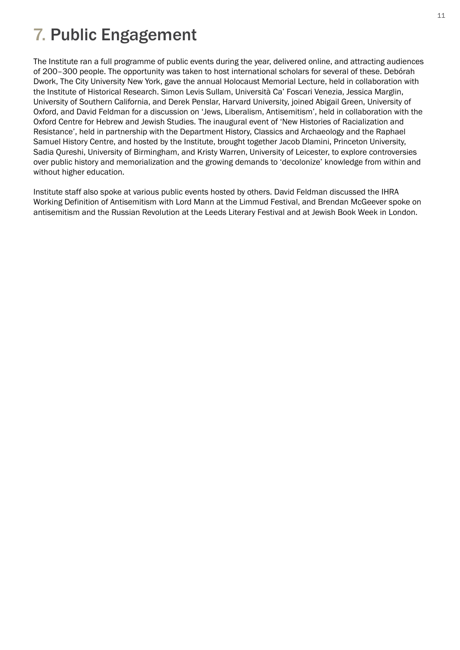## 7. Public Engagement

The Institute ran a full programme of public events during the year, delivered online, and attracting audiences of 200–300 people. The opportunity was taken to host international scholars for several of these. Debórah Dwork, The City University New York, gave the annual Holocaust Memorial Lecture, held in collaboration with the Institute of Historical Research. Simon Levis Sullam, Università Ca' Foscari Venezia, Jessica Marglin, University of Southern California, and Derek Penslar, Harvard University, joined Abigail Green, University of Oxford, and David Feldman for a discussion on 'Jews, Liberalism, Antisemitism', held in collaboration with the Oxford Centre for Hebrew and Jewish Studies. The inaugural event of 'New Histories of Racialization and Resistance', held in partnership with the Department History, Classics and Archaeology and the Raphael Samuel History Centre, and hosted by the Institute, brought together Jacob Dlamini, Princeton University, Sadia Qureshi, University of Birmingham, and Kristy Warren, University of Leicester, to explore controversies over public history and memorialization and the growing demands to 'decolonize' knowledge from within and without higher education.

Institute staff also spoke at various public events hosted by others. David Feldman discussed the IHRA Working Definition of Antisemitism with Lord Mann at the Limmud Festival, and Brendan McGeever spoke on antisemitism and the Russian Revolution at the Leeds Literary Festival and at Jewish Book Week in London.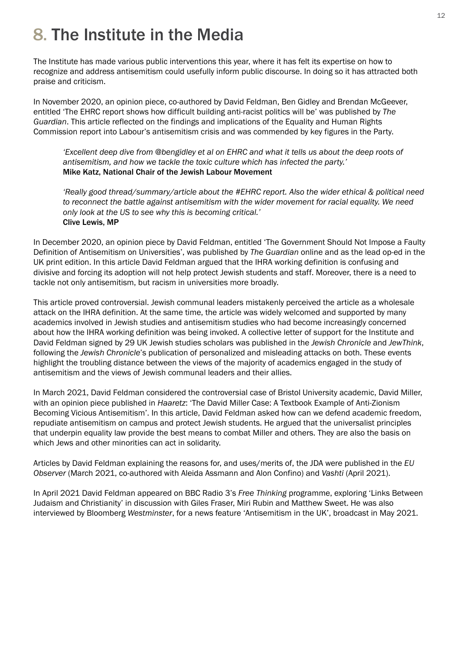## 8. The Institute in the Media

The Institute has made various public interventions this year, where it has felt its expertise on how to recognize and address antisemitism could usefully inform public discourse. In doing so it has attracted both praise and criticism.

In November 2020, an opinion piece, co-authored by David Feldman, Ben Gidley and Brendan McGeever, entitled 'The EHRC report shows how difficult building anti-racist politics will be' was published by *The Guardian*. This article reflected on the findings and implications of the Equality and Human Rights Commission report into Labour's antisemitism crisis and was commended by key figures in the Party.

 *'Excellent deep dive from @bengidley et al on EHRC and what it tells us about the deep roots of antisemitism, and how we tackle the toxic culture which has infected the party.'*  Mike Katz, National Chair of the Jewish Labour Movement

 *'Really good thread/summary/article about the #EHRC report. Also the wider ethical & political need to reconnect the battle against antisemitism with the wider movement for racial equality. We need only look at the US to see why this is becoming critical.'*  Clive Lewis, MP

In December 2020, an opinion piece by David Feldman, entitled 'The Government Should Not Impose a Faulty Definition of Antisemitism on Universities', was published by *The Guardian* online and as the lead op-ed in the UK print edition. In this article David Feldman argued that the IHRA working definition is confusing and divisive and forcing its adoption will not help protect Jewish students and staff. Moreover, there is a need to tackle not only antisemitism, but racism in universities more broadly.

This article proved controversial. Jewish communal leaders mistakenly perceived the article as a wholesale attack on the IHRA definition. At the same time, the article was widely welcomed and supported by many academics involved in Jewish studies and antisemitism studies who had become increasingly concerned about how the IHRA working definition was being invoked. A collective letter of support for the Institute and David Feldman signed by 29 UK Jewish studies scholars was published in the *Jewish Chronicle* and *JewThink*, following the *Jewish Chronicle*'s publication of personalized and misleading attacks on both. These events highlight the troubling distance between the views of the majority of academics engaged in the study of antisemitism and the views of Jewish communal leaders and their allies.

In March 2021, David Feldman considered the controversial case of Bristol University academic, David Miller, with an opinion piece published in *Haaretz*: 'The David Miller Case: A Textbook Example of Anti-Zionism Becoming Vicious Antisemitism'. In this article, David Feldman asked how can we defend academic freedom, repudiate antisemitism on campus and protect Jewish students. He argued that the universalist principles that underpin equality law provide the best means to combat Miller and others. They are also the basis on which Jews and other minorities can act in solidarity.

Articles by David Feldman explaining the reasons for, and uses/merits of, the JDA were published in the *EU Observer* (March 2021, co-authored with Aleida Assmann and Alon Confino) and *Vashti* (April 2021).

In April 2021 David Feldman appeared on BBC Radio 3's *Free Thinking* programme, exploring 'Links Between Judaism and Christianity' in discussion with Giles Fraser, Miri Rubin and Matthew Sweet. He was also interviewed by Bloomberg *Westminster*, for a news feature 'Antisemitism in the UK', broadcast in May 2021.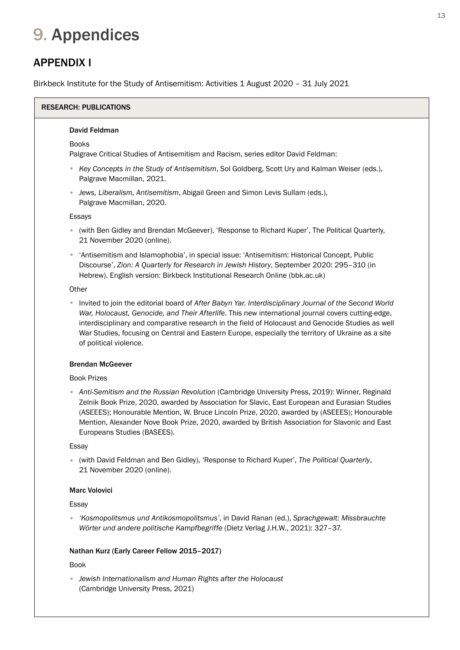## 9. Appendices

## APPENDIX I

Birkbeck Institute for the Study of Antisemitism: Activities 1 August 2020 – 31 July 2021

## RESEARCH: PUBLICATIONS

#### David Feldman

#### **Books**

Palgrave Critical Studies of Antisemitism and Racism, series editor David Feldman:

- *Key Concepts in the Study of Antisemitism*, Sol Goldberg, Scott Ury and Kalman Weiser (eds.), Palgrave Macmillan, 2021.
- *Jews, Liberalism, Antisemitism*, Abigail Green and Simon Levis Sullam (eds.), Palgrave Macmillan, 2020.

Essays

- (with Ben Gidley and Brendan McGeever), 'Response to Richard Kuper', The Political Quarterly, 21 November 2020 (online).
- 'Antisemitism and Islamophobia', in special issue: 'Antisemitism: Historical Concept, Public Discourse', *Zion: A Quarterly for Research in Jewish History*, September 2020: 295–310 (in Hebrew). English version: Birkbeck Institutional Research Online (bbk.ac.uk)

#### **Other**

• Invited to join the editorial board of *After Babyn Yar. Interdisciplinary Journal of the Second World War, Holocaust, Genocide, and Their Afterlife*. This new international journal covers cutting-edge, interdisciplinary and comparative research in the field of Holocaust and Genocide Studies as well War Studies, focusing on Central and Eastern Europe, especially the territory of Ukraine as a site of political violence.

#### Brendan McGeever

#### Book Prizes

 *Anti-Semitism and the Russian Revolution* (Cambridge University Press, 2019): Winner, Reginald • Zelnik Book Prize, 2020, awarded by Association for Slavic, East European and Eurasian Studies (ASEEES); Honourable Mention, W. Bruce Lincoln Prize, 2020, awarded by (ASEEES); Honourable Mention, Alexander Nove Book Prize, 2020, awarded by British Association for Slavonic and East Europeans Studies (BASEES).

#### Essay

 (with David Feldman and Ben Gidley), 'Response to Richard Kuper', *The Political Quarterly*, • 21 November 2020 (online).

#### Marc Volovici

#### Essay

 *'Kosmopolitsmus und Antikosmopolitsmus'*, in David Ranan (ed.), *Sprachgewalt: Missbrauchte*  •  *Wörter und andere politische Kampfbegriffe* (Dietz Verlag J.H.W., 2021): 327–37.

#### Nathan Kurz (Early Career Fellow 2015–2017)

#### Book

 *Jewish Internationalism and Human Rights after the Holocaust* • (Cambridge University Press, 2021)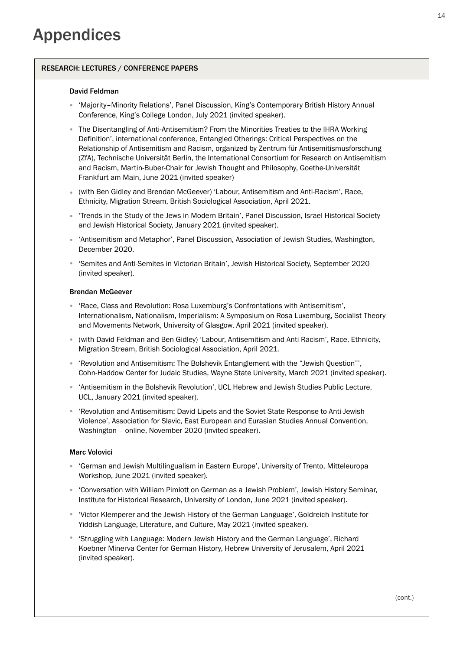#### RESEARCH: LECTURES / CONFERENCE PAPERS

#### David Feldman

- 'Majority–Minority Relations', Panel Discussion, King's Contemporary British History Annual Conference, King's College London, July 2021 (invited speaker).
- The Disentangling of Anti-Antisemitism? From the Minorities Treaties to the IHRA Working Definition', international conference, Entangled Otherings: Critical Perspectives on the Relationship of Antisemitism and Racism, organized by Zentrum für Antisemitismusforschung (ZfA), Technische Universität Berlin, the International Consortium for Research on Antisemitism and Racism, Martin-Buber-Chair for Jewish Thought and Philosophy, Goethe-Universität Frankfurt am Main, June 2021 (invited speaker)
- (with Ben Gidley and Brendan McGeever) 'Labour, Antisemitism and Anti-Racism', Race, Ethnicity, Migration Stream, British Sociological Association, April 2021.
- 'Trends in the Study of the Jews in Modern Britain', Panel Discussion, Israel Historical Society and Jewish Historical Society, January 2021 (invited speaker).
- 'Antisemitism and Metaphor', Panel Discussion, Association of Jewish Studies, Washington, December 2020.
- 'Semites and Anti-Semites in Victorian Britain', Jewish Historical Society, September 2020 (invited speaker).

#### Brendan McGeever

- 'Race, Class and Revolution: Rosa Luxemburg's Confrontations with Antisemitism', Internationalism, Nationalism, Imperialism: A Symposium on Rosa Luxemburg, Socialist Theory and Movements Network, University of Glasgow, April 2021 (invited speaker).
- (with David Feldman and Ben Gidley) 'Labour, Antisemitism and Anti-Racism', Race, Ethnicity, Migration Stream, British Sociological Association, April 2021.
- 'Revolution and Antisemitism: The Bolshevik Entanglement with the "Jewish Question"', Cohn-Haddow Center for Judaic Studies, Wayne State University, March 2021 (invited speaker).
- 'Antisemitism in the Bolshevik Revolution', UCL Hebrew and Jewish Studies Public Lecture, UCL, January 2021 (invited speaker).
- 'Revolution and Antisemitism: David Lipets and the Soviet State Response to Anti-Jewish Violence', Association for Slavic, East European and Eurasian Studies Annual Convention, Washington – online, November 2020 (invited speaker).

#### Marc Volovici

- 'German and Jewish Multilingualism in Eastern Europe', University of Trento, Mitteleuropa Workshop, June 2021 (invited speaker).
- 'Conversation with William Pimlott on German as a Jewish Problem', Jewish History Seminar, Institute for Historical Research, University of London, June 2021 (invited speaker).
- 'Victor Klemperer and the Jewish History of the German Language', Goldreich Institute for Yiddish Language, Literature, and Culture, May 2021 (invited speaker).
- 'Struggling with Language: Modern Jewish History and the German Language', Richard Koebner Minerva Center for German History, Hebrew University of Jerusalem, April 2021 (invited speaker).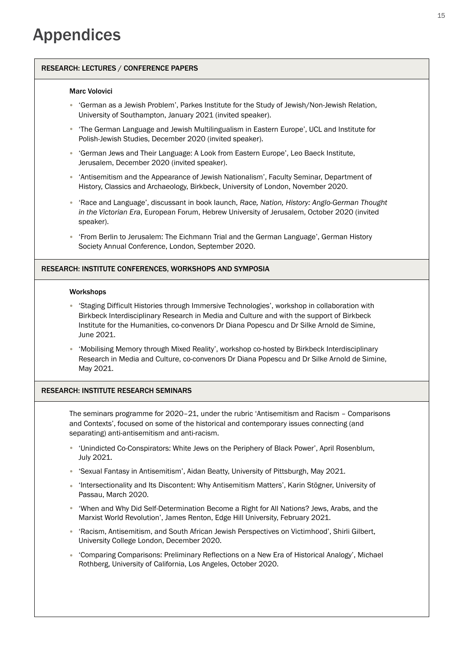#### RESEARCH: LECTURES / CONFERENCE PAPERS

#### Marc Volovici

- 'German as a Jewish Problem', Parkes Institute for the Study of Jewish/Non-Jewish Relation, University of Southampton, January 2021 (invited speaker).
- The German Language and Jewish Multilingualism in Eastern Europe', UCL and Institute for Polish-Jewish Studies, December 2020 (invited speaker).
- 'German Jews and Their Language: A Look from Eastern Europe', Leo Baeck Institute, Jerusalem, December 2020 (invited speaker).
- 'Antisemitism and the Appearance of Jewish Nationalism', Faculty Seminar, Department of History, Classics and Archaeology, Birkbeck, University of London, November 2020.
- 'Race and Language', discussant in book launch, *Race, Nation, History: Anglo-German Thought in the Victorian Era*, European Forum, Hebrew University of Jerusalem, October 2020 (invited speaker).
- 'From Berlin to Jerusalem: The Eichmann Trial and the German Language', German History Society Annual Conference, London, September 2020.

#### RESEARCH: INSTITUTE CONFERENCES, WORKSHOPS AND SYMPOSIA

#### Workshops

- 'Staging Difficult Histories through Immersive Technologies', workshop in collaboration with Birkbeck Interdisciplinary Research in Media and Culture and with the support of Birkbeck Institute for the Humanities, co-convenors Dr Diana Popescu and Dr Silke Arnold de Simine, June 2021.
- 'Mobilising Memory through Mixed Reality', workshop co-hosted by Birkbeck Interdisciplinary Research in Media and Culture, co-convenors Dr Diana Popescu and Dr Silke Arnold de Simine, May 2021.

#### RESEARCH: INSTITUTE RESEARCH SEMINARS

The seminars programme for 2020–21, under the rubric 'Antisemitism and Racism – Comparisons and Contexts', focused on some of the historical and contemporary issues connecting (and separating) anti-antisemitism and anti-racism.

- 'Unindicted Co-Conspirators: White Jews on the Periphery of Black Power', April Rosenblum, July 2021.
- 'Sexual Fantasy in Antisemitism', Aidan Beatty, University of Pittsburgh, May 2021.
- 'Intersectionality and Its Discontent: Why Antisemitism Matters', Karin Stögner, University of Passau, March 2020.
- 'When and Why Did Self-Determination Become a Right for All Nations? Jews, Arabs, and the Marxist World Revolution', James Renton, Edge Hill University, February 2021.
- 'Racism, Antisemitism, and South African Jewish Perspectives on Victimhood', Shirli Gilbert, University College London, December 2020.
- 'Comparing Comparisons: Preliminary Reflections on a New Era of Historical Analogy', Michael Rothberg, University of California, Los Angeles, October 2020.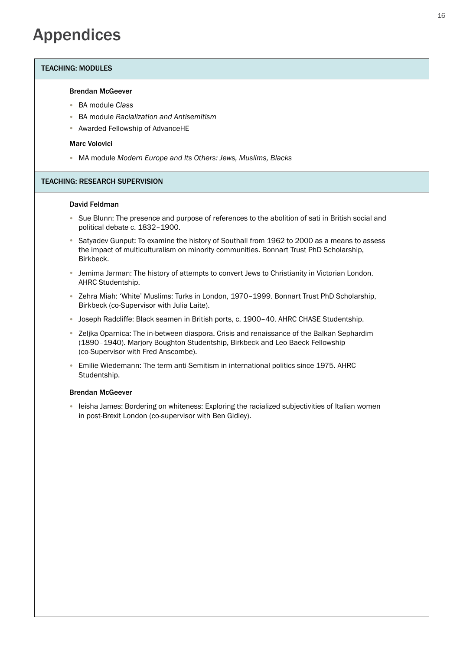## Appendices

#### TEACHING: MODULES

#### Brendan McGeever

- BA module *Class* •
- BA module *Racialization and Antisemitism* •
- Awarded Fellowship of AdvanceHE

#### Marc Volovici

• MA module *Modern Europe and Its Others: Jews, Muslims, Blacks*

#### TEACHING: RESEARCH SUPERVISION

#### David Feldman

- Sue Blunn: The presence and purpose of references to the abolition of sati in British social and political debate c. 1832–1900.
- Satyadev Gunput: To examine the history of Southall from 1962 to 2000 as a means to assess the impact of multiculturalism on minority communities. Bonnart Trust PhD Scholarship, Birkbeck.
- Jemima Jarman: The history of attempts to convert Jews to Christianity in Victorian London. AHRC Studentship.
- Zehra Miah: 'White' Muslims: Turks in London, 1970-1999. Bonnart Trust PhD Scholarship, Birkbeck (co-Supervisor with Julia Laite).
- Joseph Radcliffe: Black seamen in British ports, c. 1900-40. AHRC CHASE Studentship.
- Zeljka Oparnica: The in-between diaspora. Crisis and renaissance of the Balkan Sephardim (1890–1940). Marjory Boughton Studentship, Birkbeck and Leo Baeck Fellowship (co-Supervisor with Fred Anscombe).
- Emilie Wiedemann: The term anti-Semitism in international politics since 1975. AHRC Studentship.

#### Brendan McGeever

• leisha James: Bordering on whiteness: Exploring the racialized subjectivities of Italian women in post-Brexit London (co-supervisor with Ben Gidley).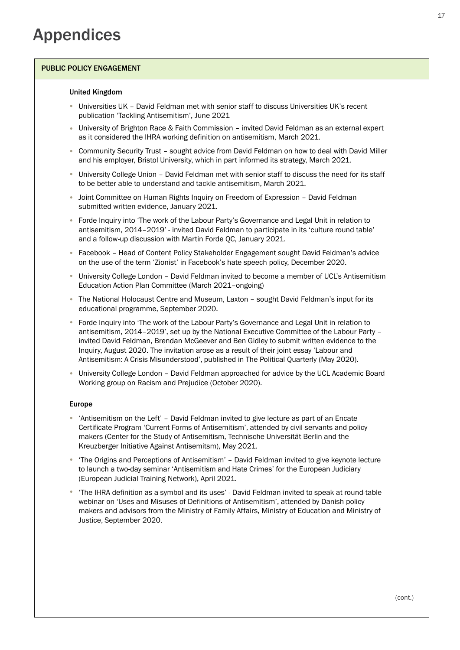#### PUBLIC POLICY ENGAGEMENT

#### United Kingdom

- Universities UK David Feldman met with senior staff to discuss Universities UK's recent publication 'Tackling Antisemitism', June 2021
- University of Brighton Race & Faith Commission invited David Feldman as an external expert as it considered the IHRA working definition on antisemitism, March 2021.
- Community Security Trust sought advice from David Feldman on how to deal with David Miller and his employer, Bristol University, which in part informed its strategy, March 2021.
- University College Union David Feldman met with senior staff to discuss the need for its staff to be better able to understand and tackle antisemitism, March 2021.
- Joint Committee on Human Rights Inquiry on Freedom of Expression David Feldman submitted written evidence, January 2021.
- Forde Inquiry into 'The work of the Labour Party's Governance and Legal Unit in relation to antisemitism, 2014–2019' - invited David Feldman to participate in its 'culture round table' and a follow-up discussion with Martin Forde QC, January 2021.
- Facebook Head of Content Policy Stakeholder Engagement sought David Feldman's advice on the use of the term 'Zionist' in Facebook's hate speech policy, December 2020.
- University College London David Feldman invited to become a member of UCL's Antisemitism Education Action Plan Committee (March 2021–ongoing)
- The National Holocaust Centre and Museum, Laxton sought David Feldman's input for its educational programme, September 2020.
- Forde Inquiry into 'The work of the Labour Party's Governance and Legal Unit in relation to antisemitism, 2014–2019', set up by the National Executive Committee of the Labour Party – invited David Feldman, Brendan McGeever and Ben Gidley to submit written evidence to the Inquiry, August 2020. The invitation arose as a result of their joint essay 'Labour and Antisemitism: A Crisis Misunderstood', published in The Political Quarterly (May 2020).
- University College London David Feldman approached for advice by the UCL Academic Board Working group on Racism and Prejudice (October 2020).

#### Europe

- 'Antisemitism on the Left' David Feldman invited to give lecture as part of an Encate Certificate Program 'Current Forms of Antisemitism', attended by civil servants and policy makers (Center for the Study of Antisemitism, Technische Universität Berlin and the Kreuzberger Initiative Against Antisemitsm), May 2021.
- The Origins and Perceptions of Antisemitism' David Feldman invited to give keynote lecture to launch a two-day seminar 'Antisemitism and Hate Crimes' for the European Judiciary (European Judicial Training Network), April 2021.
- 'The IHRA definition as a symbol and its uses' David Feldman invited to speak at round-table webinar on 'Uses and Misuses of Definitions of Antisemitism', attended by Danish policy makers and advisors from the Ministry of Family Affairs, Ministry of Education and Ministry of Justice, September 2020. •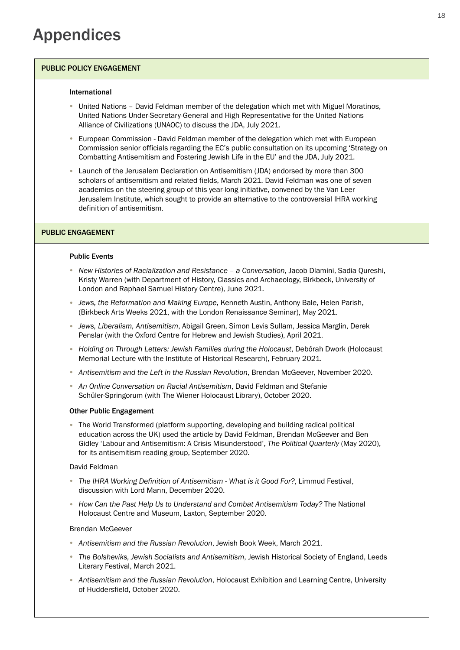#### PUBLIC POLICY ENGAGEMENT

#### International

- United Nations David Feldman member of the delegation which met with Miguel Moratinos, United Nations Under-Secretary-General and High Representative for the United Nations Alliance of Civilizations (UNAOC) to discuss the JDA, July 2021.
- European Commission David Feldman member of the delegation which met with European Commission senior officials regarding the EC's public consultation on its upcoming 'Strategy on Combatting Antisemitism and Fostering Jewish Life in the EU' and the JDA, July 2021.
- Launch of the Jerusalem Declaration on Antisemitism (JDA) endorsed by more than 300 scholars of antisemitism and related fields, March 2021. David Feldman was one of seven academics on the steering group of this year-long initiative, convened by the Van Leer Jerusalem Institute, which sought to provide an alternative to the controversial IHRA working definition of antisemitism.

#### PUBLIC ENGAGEMENT

#### Public Events

- New Histories of Racialization and Resistance a Conversation, Jacob Dlamini, Sadia Qureshi, Kristy Warren (with Department of History, Classics and Archaeology, Birkbeck, University of London and Raphael Samuel History Centre), June 2021.
- *Jews, the Reformation and Making Europe*, Kenneth Austin, Anthony Bale, Helen Parish, (Birkbeck Arts Weeks 2021, with the London Renaissance Seminar), May 2021.
- *Jews, Liberalism, Antisemitism*, Abigail Green, Simon Levis Sullam, Jessica Marglin, Derek Penslar (with the Oxford Centre for Hebrew and Jewish Studies), April 2021.
- Holding on Through Letters: Jewish Families during the Holocaust, Debórah Dwork (Holocaust Memorial Lecture with the Institute of Historical Research), February 2021.
- Antisemitism and the Left in the Russian Revolution, Brendan McGeever, November 2020.
- *An Online Conversation on Racial Antisemitism*, David Feldman and Stefanie Schüler-Springorum (with The Wiener Holocaust Library), October 2020.

#### Other Public Engagement

• The World Transformed (platform supporting, developing and building radical political education across the UK) used the article by David Feldman, Brendan McGeever and Ben Gidley 'Labour and Antisemitism: A Crisis Misunderstood', *The Political Quarterly* (May 2020), for its antisemitism reading group, September 2020.

#### David Feldman

- *The IHRA Working Definition of Antisemitism What is it Good For?*, Limmud Festival, discussion with Lord Mann, December 2020.
- *How Can the Past Help Us to Understand and Combat Antisemitism Today?* The National Holocaust Centre and Museum, Laxton, September 2020.

#### Brendan McGeever

- *Antisemitism and the Russian Revolution*, Jewish Book Week, March 2021. •
- The Bolsheviks, Jewish Socialists and Antisemitism, Jewish Historical Society of England, Leeds Literary Festival, March 2021.
- *Antisemitism and the Russian Revolution*, Holocaust Exhibition and Learning Centre, University of Huddersfield, October 2020.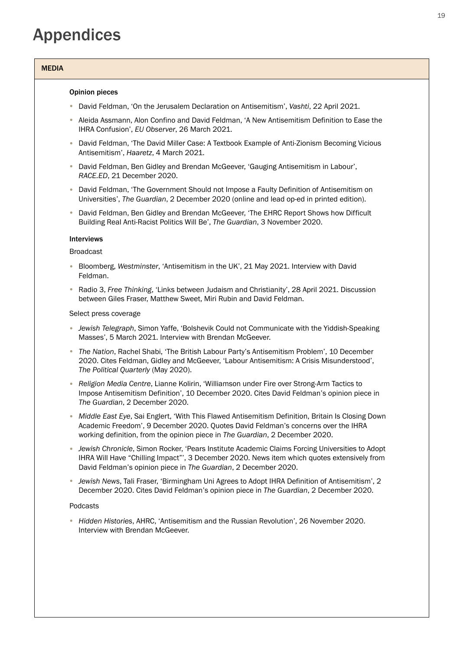## Appendices

#### MEDIA

#### Opinion pieces

- David Feldman, 'On the Jerusalem Declaration on Antisemitism', *Vashti*, 22 April 2021. •
- Aleida Assmann, Alon Confino and David Feldman, 'A New Antisemitism Definition to Ease the IHRA Confusion', *EU Observer*, 26 March 2021.
- David Feldman, 'The David Miller Case: A Textbook Example of Anti-Zionism Becoming Vicious Antisemitism', *Haaretz*, 4 March 2021.
- David Feldman, Ben Gidley and Brendan McGeever, 'Gauging Antisemitism in Labour', *RACE.ED*, 21 December 2020.
- David Feldman, 'The Government Should not Impose a Faulty Definition of Antisemitism on Universities', *The Guardian*, 2 December 2020 (online and lead op-ed in printed edition).
- David Feldman, Ben Gidley and Brendan McGeever, 'The EHRC Report Shows how Difficult Building Real Anti-Racist Politics Will Be', *The Guardian*, 3 November 2020.

#### Interviews

#### Broadcast

- Bloomberg, Westminster, 'Antisemitism in the UK', 21 May 2021. Interview with David Feldman.
- Radio 3, *Free Thinking*, 'Links between Judaism and Christianity', 28 April 2021. Discussion between Giles Fraser, Matthew Sweet, Miri Rubin and David Feldman.

#### Select press coverage

- **•** Jewish Telegraph, Simon Yaffe, 'Bolshevik Could not Communicate with the Yiddish-Speaking Masses', 5 March 2021. Interview with Brendan McGeever.
- The Nation, Rachel Shabi, 'The British Labour Party's Antisemitism Problem', 10 December 2020. Cites Feldman, Gidley and McGeever, 'Labour Antisemitism: A Crisis Misunderstood', *The Political Quarterly* (May 2020).
- Religion Media Centre, Lianne Kolirin, 'Williamson under Fire over Strong-Arm Tactics to Impose Antisemitism Definition', 10 December 2020. Cites David Feldman's opinion piece in *The Guardian*, 2 December 2020.
- **Middle East Eye, Sai Englert, 'With This Flawed Antisemitism Definition, Britain Is Closing Down** Academic Freedom', 9 December 2020. Quotes David Feldman's concerns over the IHRA working definition, from the opinion piece in *The Guardian*, 2 December 2020.
- **•** Jewish Chronicle, Simon Rocker, 'Pears Institute Academic Claims Forcing Universities to Adopt IHRA Will Have "Chilling Impact"', 3 December 2020. News item which quotes extensively from David Feldman's opinion piece in *The Guardian*, 2 December 2020.
- *Jewish News*, Tali Fraser, 'Birmingham Uni Agrees to Adopt IHRA Definition of Antisemitism', 2 December 2020. Cites David Feldman's opinion piece in *The Guardian*, 2 December 2020.

#### Podcasts

*Hidden Histories*, AHRC, 'Antisemitism and the Russian Revolution', 26 November 2020. • Interview with Brendan McGeever.